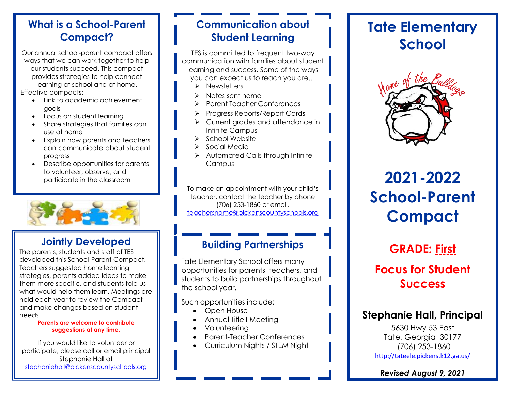Our annual school-parent compact offers ways that we can work together to help our students succeed. This compact provides strategies to help connect learning at school and at home. Effective compacts:

- Link to academic achievement goals
- Focus on student learning
- Share strategies that families can use at home
- Explain how parents and teachers can communicate about student progress
- Describe opportunities for parents to volunteer, observe, and participate in the classroom



### **Jointly Developed**

The parents, students and staff of TES developed this School-Parent Compact. Teachers suggested home learning strategies, parents added ideas to make them more specific, and students told us what would help them learn. Meetings are held each year to review the Compact and make changes based on student needs.

#### **Parents are welcome to contribute suggestions at any time.**

If you would like to volunteer or participate, please call or email principal Stephanie Hall at [stephaniehall@pickenscountyschools.org](mailto:stephaniehall@pickenscountyschools.org)

### **Communication about Student Learning**

TES is committed to frequent two-way communication with families about student learning and success. Some of the ways you can expect us to reach you are…

- ➢ Newsletters
- ➢ Notes sent home
- ➢ Parent Teacher Conferences
- ➢ Progress Reports/Report Cards
- ➢ Current grades and attendance in Infinite Campus
- ➢ School Website
- ➢ Social Media
- ➢ Automated Calls through Infinite **Campus**

To make an appointment with your child's teacher, contact the teacher by phone (706) 253-1860 or email. [teachersname@pickenscountyschools.org](mailto:teachersname@pickenscountyschools.org)

### **Building Partnerships**

Tate Elementary School offers many opportunities for parents, teachers, and students to build partnerships throughout the school year.

Such opportunities include:

- Open House
- Annual Title I Meeting
- Volunteering
- Parent-Teacher Conferences
- Curriculum Nights / STEM Night

## **Tate Elementary School**



# **2021-2022 School-Parent Compact**

## **GRADE: First Focus for Student Success**

### **Stephanie Hall, Principal**

5630 Hwy 53 East Tate, Georgia 30177 (706) 253-1860 <http://tateele.pickens.k12.ga.us/>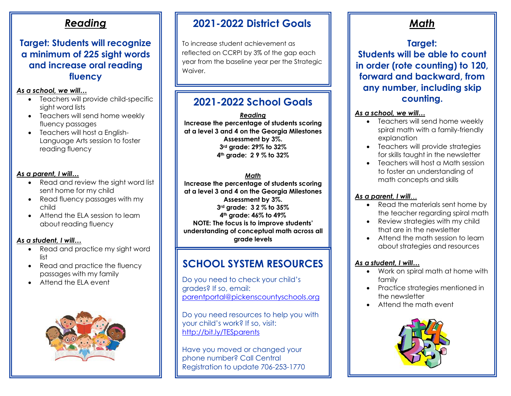#### **Target: Students will recognize a minimum of 225 sight words and increase oral reading fluency**

#### *As a school, we will…*

- Teachers will provide child-specific sight word lists
- Teachers will send home weekly fluency passages
- Teachers will host a Enalish-Language Arts session to foster reading fluency

#### *As a parent, I will…*

- Read and review the sight word list sent home for my child
- Read fluency passages with my child
- Attend the ELA session to learn about reading fluency

#### *As a student, I will…*

- Read and practice my sight word list
- Read and practice the fluency passages with my family
- Attend the FLA event



### **2021-2022 District Goals**

To increase student achievement as reflected on CCRPI by 3% of the gap each year from the baseline year per the Strategic Waiver.

### **2021-2022 School Goals**

*Reading* **Increase the percentage of students scoring at a level 3 and 4 on the Georgia Milestones Assessment by 3%. 3rd grade: 29% to 32% 4th grade: 2 9 % to 32%**

#### *Math*

**Increase the percentage of students scoring at a level 3 and 4 on the Georgia Milestones Assessment by 3%. 3rd grade: 3 2 % to 35% 4th grade: 46% to 49% NOTE: The focus is to improve students' understanding of conceptual math across all grade levels**

## **SCHOOL SYSTEM RESOURCES**

Do you need to check your child's grades? If so, email: [parentportal@pickenscountyschools.org](mailto:parentportal@pickenscountyschools.org)

Do you need resources to help you with your child's work? If so, visit: <http://bit.ly/TESparents>

Have you moved or changed your phone number? Call Central Registration to update 706-253-1770

### *Math*

## **Target:**

**Students will be able to count in order (rote counting) to 120, forward and backward, from any number, including skip counting.**

#### *As a school, we will…*

- Teachers will send home weekly spiral math with a family-friendly explanation
- Teachers will provide strategies for skills taught in the newsletter
- Teachers will host a Math session to foster an understanding of math concepts and skills

#### *As a parent, I will*…

- Read the materials sent home by the teacher regarding spiral math
- Review strategies with my child that are in the newsletter
- Attend the math session to learn about strategies and resources

- Work on spiral math at home with family
- Practice strategies mentioned in the newsletter
- Attend the math event

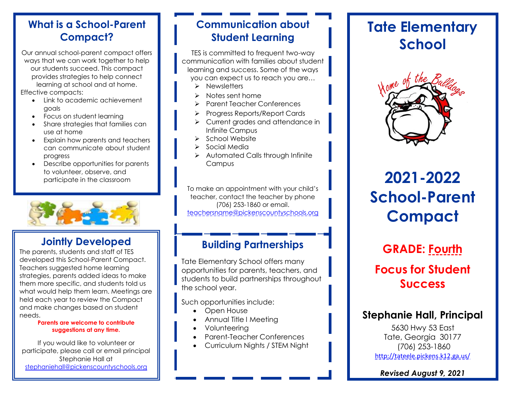Our annual school-parent compact offers ways that we can work together to help our students succeed. This compact provides strategies to help connect learning at school and at home. Effective compacts:

- Link to academic achievement goals
- Focus on student learning
- Share strategies that families can use at home
- Explain how parents and teachers can communicate about student progress
- Describe opportunities for parents to volunteer, observe, and participate in the classroom



### **Jointly Developed**

The parents, students and staff of TES developed this School-Parent Compact. Teachers suggested home learning strategies, parents added ideas to make them more specific, and students told us what would help them learn. Meetings are held each year to review the Compact and make changes based on student needs.

#### **Parents are welcome to contribute suggestions at any time.**

If you would like to volunteer or participate, please call or email principal Stephanie Hall at [stephaniehall@pickenscountyschools.org](mailto:stephaniehall@pickenscountyschools.org)

### **Communication about Student Learning**

TES is committed to frequent two-way communication with families about student learning and success. Some of the ways you can expect us to reach you are…

- ➢ Newsletters
- ➢ Notes sent home
- ➢ Parent Teacher Conferences
- ➢ Progress Reports/Report Cards
- ➢ Current grades and attendance in Infinite Campus
- ➢ School Website
- ➢ Social Media
- ➢ Automated Calls through Infinite **Campus**

To make an appointment with your child's teacher, contact the teacher by phone (706) 253-1860 or email. [teachersname@pickenscountyschools.org](mailto:teachersname@pickenscountyschools.org)

### **Building Partnerships**

Tate Elementary School offers many opportunities for parents, teachers, and students to build partnerships throughout the school year.

Such opportunities include:

- Open House
- Annual Title I Meeting
- Volunteering
- Parent-Teacher Conferences
- Curriculum Nights / STEM Night

## **Tate Elementary School**



# **2021-2022 School-Parent Compact**

## **GRADE: Fourth Focus for Student Success**

### **Stephanie Hall, Principal**

5630 Hwy 53 East Tate, Georgia 30177 (706) 253-1860 <http://tateele.pickens.k12.ga.us/>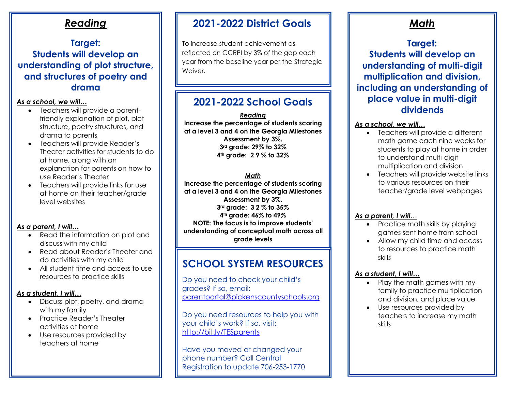#### **Target: Students will develop an understanding of plot structure, and structures of poetry and drama**

#### *As a school, we will…*

- Teachers will provide a parentfriendly explanation of plot, plot structure, poetry structures, and drama to parents
- Teachers will provide Reader's Theater activities for students to do at home, along with an explanation for parents on how to use Reader's Theater
- Teachers will provide links for use at home on their teacher/grade level websites

#### *As a parent, I will…*

- Read the information on plot and discuss with my child
- Read about Reader's Theater and do activities with my child
- All student time and access to use resources to practice skills

#### *As a student, I will…*

- Discuss plot, poetry, and drama with my family
- Practice Reader's Theater activities at home
- Use resources provided by teachers at home

### **2021-2022 District Goals**

To increase student achievement as reflected on CCRPI by 3% of the gap each year from the baseline year per the Strategic Waiver.

### **2021-2022 School Goals**

*Reading* **Increase the percentage of students scoring at a level 3 and 4 on the Georgia Milestones Assessment by 3%. 3rd grade: 29% to 32% 4th grade: 2 9 % to 32%**

#### *Math*

**Increase the percentage of students scoring at a level 3 and 4 on the Georgia Milestones Assessment by 3%. 3rd grade: 3 2 % to 35% 4th grade: 46% to 49% NOTE: The focus is to improve students' understanding of conceptual math across all grade levels**

### **SCHOOL SYSTEM RESOURCES**

Do you need to check your child's grades? If so, email: [parentportal@pickenscountyschools.org](mailto:parentportal@pickenscountyschools.org)

Do you need resources to help you with your child's work? If so, visit: <http://bit.ly/TESparents>

Have you moved or changed your phone number? Call Central Registration to update 706-253-1770

### *Math*

### **Target: Students will develop an understanding of multi-digit multiplication and division, including an understanding of place value in multi-digit dividends**

#### *As a school, we will…*

- Teachers will provide a different math game each nine weeks for students to play at home in order to understand multi-digit multiplication and division
- Teachers will provide website links to various resources on their teacher/grade level webpages

#### *As a parent, I will*…

- Practice math skills by playing games sent home from school
- Allow my child time and access to resources to practice math skills

- Play the math games with my family to practice multiplication and division, and place value
- Use resources provided by teachers to increase my math skills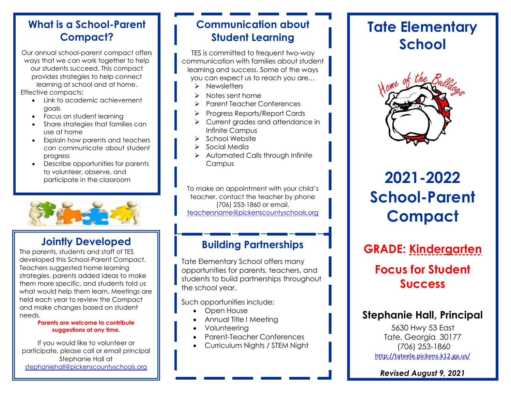Our annual school-parent compact offers ways that we can work together to help our students succeed. This compact provides strategies to help connect learning at school and at home. Effective compacts:

- Link to academic achievement goals
- Focus on student learning
- Share strategies that families can use at home
- Explain how parents and teachers can communicate about student progress
- Describe opportunities for parents to volunteer, observe, and participate in the classroom



### **Jointly Developed**

The parents, students and staff of TES developed this School-Parent Compact. Teachers suggested home learning strategies, parents added ideas to make them more specific, and students told us what would help them learn. Meetings are held each year to review the Compact and make changes based on student needs.

#### **Parents are welcome to contribute suggestions at any time.**

If you would like to volunteer or participate, please call or email principal Stephanie Hall at [stephaniehall@pickenscountyschools.org](mailto:stephaniehall@pickenscountyschools.org)

### **Communication about Student Learning**

TES is committed to frequent two-way communication with families about student learning and success. Some of the ways you can expect us to reach you are…

- ➢ Newsletters
- ➢ Notes sent home
- ➢ Parent Teacher Conferences
- ➢ Progress Reports/Report Cards
- ➢ Current grades and attendance in Infinite Campus
- ➢ School Website
- ➢ Social Media
- ➢ Automated Calls through Infinite **Campus**

To make an appointment with your child's teacher, contact the teacher by phone (706) 253-1860 or email. [teachersname@pickenscountyschools.org](mailto:teachersname@pickenscountyschools.org)

### **Building Partnerships**

Tate Elementary School offers many opportunities for parents, teachers, and students to build partnerships throughout the school year.

Such opportunities include:

- Open House
- Annual Title I Meeting
- Volunteering
- Parent-Teacher Conferences
- Curriculum Nights / STEM Night

## **Tate Elementary School**



# **2021-2022 School-Parent Compact**

## **GRADE: Kindergarten**

## **Focus for Student Success**

### **Stephanie Hall, Principal**

5630 Hwy 53 East Tate, Georgia 30177 (706) 253-1860 <http://tateele.pickens.k12.ga.us/>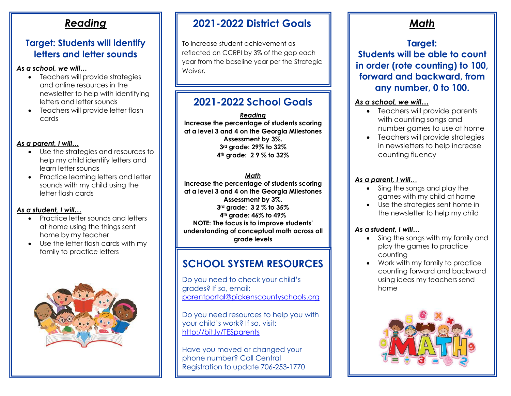#### **Target: Students will identify letters and letter sounds**

#### *As a school, we will…*

- Teachers will provide strategies and online resources in the newsletter to help with identifying letters and letter sounds
- Teachers will provide letter flash cards

#### *As a parent, I will…*

- Use the strategies and resources to help my child identify letters and learn letter sounds
- Practice learning letters and letter sounds with my child using the letter flash cards

#### *As a student, I will…*

- Practice letter sounds and letters at home using the things sent home by my teacher
- Use the letter flash cards with my family to practice letters



### **2021-2022 District Goals**

To increase student achievement as reflected on CCRPI by 3% of the gap each year from the baseline year per the Strategic Waiver.

### **2021-2022 School Goals**

*Reading* **Increase the percentage of students scoring at a level 3 and 4 on the Georgia Milestones Assessment by 3%. 3rd grade: 29% to 32% 4th grade: 2 9 % to 32%**

#### *Math*

**Increase the percentage of students scoring at a level 3 and 4 on the Georgia Milestones Assessment by 3%. 3rd grade: 3 2 % to 35% 4th grade: 46% to 49% NOTE: The focus is to improve students' understanding of conceptual math across all grade levels**

### **SCHOOL SYSTEM RESOURCES**

Do you need to check your child's grades? If so, email: [parentportal@pickenscountyschools.org](mailto:parentportal@pickenscountyschools.org)

Do you need resources to help you with your child's work? If so, visit: <http://bit.ly/TESparents>

Have you moved or changed your phone number? Call Central Registration to update 706-253-1770

### *Math*

### **Target: Students will be able to count in order (rote counting) to 100, forward and backward, from any number, 0 to 100.**

#### *As a school, we will…*

- Teachers will provide parents with counting songs and number games to use at home
- Teachers will provide strategies in newsletters to help increase counting fluency

#### *As a parent, I will*…

- Sing the songs and play the games with my child at home
- Use the strategies sent home in the newsletter to help my child

- Sing the songs with my family and play the games to practice counting
- Work with my family to practice counting forward and backward using ideas my teachers send home

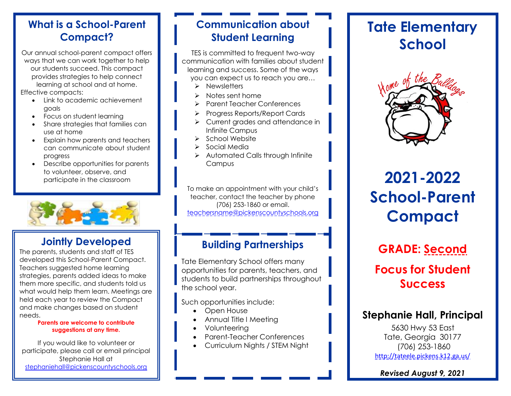Our annual school-parent compact offers ways that we can work together to help our students succeed. This compact provides strategies to help connect learning at school and at home. Effective compacts:

- Link to academic achievement goals
- Focus on student learning
- Share strategies that families can use at home
- Explain how parents and teachers can communicate about student progress
- Describe opportunities for parents to volunteer, observe, and participate in the classroom



### **Jointly Developed**

The parents, students and staff of TES developed this School-Parent Compact. Teachers suggested home learning strategies, parents added ideas to make them more specific, and students told us what would help them learn. Meetings are held each year to review the Compact and make changes based on student needs.

#### **Parents are welcome to contribute suggestions at any time.**

If you would like to volunteer or participate, please call or email principal Stephanie Hall at [stephaniehall@pickenscountyschools.org](mailto:stephaniehall@pickenscountyschools.org)

### **Communication about Student Learning**

TES is committed to frequent two-way communication with families about student learning and success. Some of the ways you can expect us to reach you are…

- ➢ Newsletters
- ➢ Notes sent home
- ➢ Parent Teacher Conferences
- ➢ Progress Reports/Report Cards
- ➢ Current grades and attendance in Infinite Campus
- ➢ School Website
- ➢ Social Media
- ➢ Automated Calls through Infinite **Campus**

To make an appointment with your child's teacher, contact the teacher by phone (706) 253-1860 or email. [teachersname@pickenscountyschools.org](mailto:teachersname@pickenscountyschools.org)

### **Building Partnerships**

Tate Elementary School offers many opportunities for parents, teachers, and students to build partnerships throughout the school year.

Such opportunities include:

- Open House
- Annual Title I Meeting
- Volunteering
- Parent-Teacher Conferences
- Curriculum Nights / STEM Night

## **Tate Elementary School**



# **2021-2022 School-Parent Compact**

# **GRADE: Second Focus for Student**

### **Success**

### **Stephanie Hall, Principal**

5630 Hwy 53 East Tate, Georgia 30177 (706) 253-1860 <http://tateele.pickens.k12.ga.us/>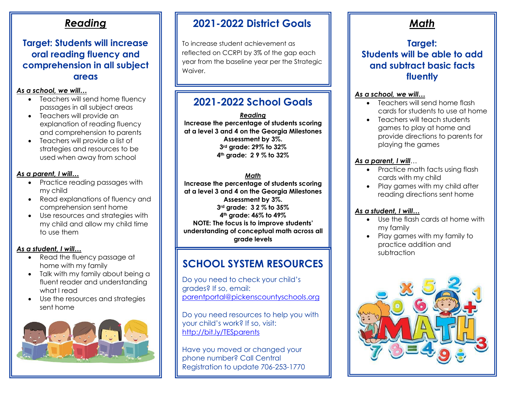#### **Target: Students will increase oral reading fluency and comprehension in all subject areas**

#### *As a school, we will…*

- Teachers will send home fluency passages in all subject areas
- Teachers will provide an explanation of reading fluency and comprehension to parents
- Teachers will provide a list of strategies and resources to be used when away from school

#### *As a parent, I will…*

- Practice reading passages with my child
- Read explanations of fluency and comprehension sent home
- Use resources and strategies with my child and allow my child time to use them

#### *As a student, I will…*

- Read the fluency passage at home with my family
- Talk with my family about being a fluent reader and understanding what I read
- Use the resources and strategies sent home



### **2021-2022 District Goals**

To increase student achievement as reflected on CCRPI by 3% of the gap each year from the baseline year per the Strategic Waiver.

### **2021-2022 School Goals**

*Reading* **Increase the percentage of students scoring at a level 3 and 4 on the Georgia Milestones Assessment by 3%. 3rd grade: 29% to 32% 4th grade: 2 9 % to 32%**

#### *Math*

**Increase the percentage of students scoring at a level 3 and 4 on the Georgia Milestones Assessment by 3%. 3rd grade: 3 2 % to 35% 4th grade: 46% to 49% NOTE: The focus is to improve students' understanding of conceptual math across all grade levels**

### **SCHOOL SYSTEM RESOURCES**

Do you need to check your child's grades? If so, email: [parentportal@pickenscountyschools.org](mailto:parentportal@pickenscountyschools.org)

Do you need resources to help you with your child's work? If so, visit: <http://bit.ly/TESparents>

Have you moved or changed your phone number? Call Central Registration to update 706-253-1770

### *Math*

### **Target: Students will be able to add and subtract basic facts fluently**

#### *As a school, we will…*

- Teachers will send home flash cards for students to use at home
- Teachers will teach students games to play at home and provide directions to parents for playing the games

#### *As a parent, I will*…

- Practice math facts using flash cards with my child
- Play games with my child after reading directions sent home

- Use the flash cards at home with my family
- Play games with my family to practice addition and subtraction

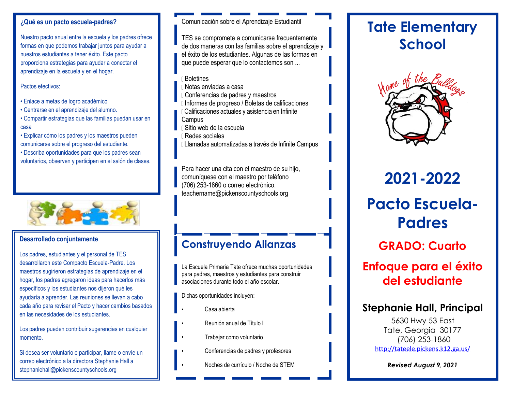#### **¿Qué es un pacto escuela-padres?**

Nuestro pacto anual entre la escuela y los padres ofrece formas en que podemos trabajar juntos para ayudar a nuestros estudiantes a tener éxito. Este pacto proporciona estrategias para ayudar a conectar el aprendizaje en la escuela y en el hogar.

Pactos efectivos:

- Enlace a metas de logro académico
- Centrarse en el aprendizaje del alumno.
- Compartir estrategias que las familias puedan usar en casa
- Explicar cómo los padres y los maestros pueden comunicarse sobre el progreso del estudiante.
- Describa oportunidades para que los padres sean voluntarios, observen y participen en el salón de clases.



#### **Desarrollado conjuntamente**

Los padres, estudiantes y el personal de TES desarrollaron este Compacto Escuela-Padre. Los maestros sugirieron estrategias de aprendizaje en el hogar, los padres agregaron ideas para hacerlos más específicos y los estudiantes nos dijeron qué les ayudaría a aprender. Las reuniones se llevan a cabo cada año para revisar el Pacto y hacer cambios basados en las necesidades de los estudiantes.

Los padres pueden contribuir sugerencias en cualquier momento.

[stephaniehall@pickenscountyschools.org](mailto:stephaniehall@pickenscountyschools.org) Si desea ser voluntario o participar, llame o envíe un correo electrónico a la directora Stephanie Hall a

#### Comunicación sobre el Aprendizaje Estudiantil

TES se compromete a comunicarse frecuentemente de dos maneras con las familias sobre el aprendizaje y el éxito de los estudiantes. Algunas de las formas en que puede esperar que lo contactemos son ...

- Boletines
- Notas enviadas a casa
- Conferencias de padres y maestros
- Informes de progreso / Boletas de calificaciones
- Calificaciones actuales y asistencia en Infinite **Campus**
- Sitio web de la escuela
- Redes sociales
- Llamadas automatizadas a través de Infinite Campus

Para hacer una cita con el maestro de su hijo, comuníquese con el maestro por teléfono (706) 253-1860 o correo electrónico. [teachername@pickenscountyschools.org](mailto:teachername@pickenscountyschools.org)

### **Construyendo Alianzas**

La Escuela Primaria Tate ofrece muchas oportunidades para padres, maestros y estudiantes para construir asociaciones durante todo el año escolar.

Dichas oportunidades incluyen:

- Casa abierta
- Reunión anual de Título I
- Trabajar como voluntario
- Conferencias de padres y profesores
- Noches de currículo / Noche de STEM *Revised August 9, 2021*

## **Tate Elementary School**



# **2021-2022**

# **Pacto Escuela-Padres**

**GRADO: Cuarto**

## **Enfoque para el éxito del estudiante**

### **Stephanie Hall, Principal**

5630 Hwy 53 East Tate, Georgia 30177 (706) 253-1860 <http://tateele.pickens.k12.ga.us/>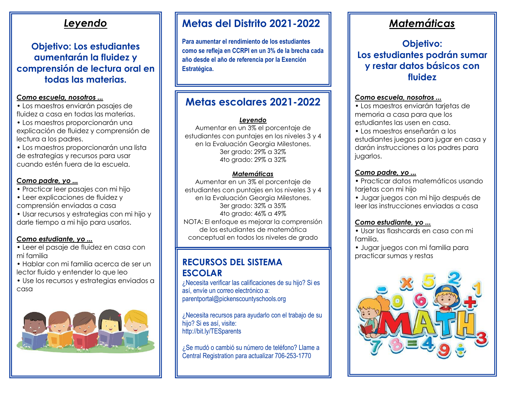### *Leyendo*

### **Objetivo: Los estudiantes aumentarán la fluidez y comprensión de lectura oral en todas las materias.**

#### *Como escuela, nosotros ...*

• Los maestros enviarán pasajes de fluidez a casa en todas las materias.

• Los maestros proporcionarán una explicación de fluidez y comprensión de lectura a los padres.

• Los maestros proporcionarán una lista de estrategias y recursos para usar cuando estén fuera de la escuela.

#### *Como padre, yo ...*

• Practicar leer pasajes con mi hijo

- Leer explicaciones de fluidez y
- comprensión enviadas a casa

• Usar recursos y estrategias con mi hijo y darle tiempo a mi hijo para usarlos.

#### *Como estudiante, yo ...*

• Leer el pasaje de fluidez en casa con mi familia

• Hablar con mi familia acerca de ser un lector fluido y entender lo que leo

• Use los recursos y estrategias enviados a casa



### **Metas del Distrito 2021-2022**

**Para aumentar el rendimiento de los estudiantes como se refleja en CCRPI en un 3% de la brecha cada año desde el año de referencia por la Exención Estratégica.**

### **Metas escolares 2021-2022**

#### *Leyendo*

Aumentar en un 3% el porcentaje de estudiantes con puntajes en los niveles 3 y 4 en la Evaluación Georgia Milestones. 3er grado: 29% a 32% 4to grado: 29% a 32%

#### *Matemáticas*

Aumentar en un 3% el porcentaje de estudiantes con puntajes en los niveles 3 y 4 en la Evaluación Georgia Milestones. 3er grado: 32% a 35% 4to grado: 46% a 49% NOTA: El enfoque es mejorar la comprensión de los estudiantes de matemática conceptual en todos los niveles de grado

### **RECURSOS DEL SISTEMA ESCOLAR**

[parentportal@pickenscountyschools.org](mailto:parentportal@pickenscountyschools.org) ¿Necesita verificar las calificaciones de su hijo? Si es así, envíe un correo electrónico a:

¿Necesita recursos para ayudarlo con el trabajo de su hijo? Si es así, visite: <http://bit.ly/TESparents>

¿Se mudó o cambió su número de teléfono? Llame a Central Registration para actualizar 706-253-1770

### *Matemáticas*

### **Objetivo: Los estudiantes podrán sumar y restar datos básicos con fluidez**

#### *Como escuela, nosotros ...*

• Los maestros enviarán tarjetas de memoria a casa para que los estudiantes las usen en casa.

• Los maestros enseñarán a los estudiantes juegos para jugar en casa y darán instrucciones a los padres para jugarlos.

#### *Como padre, yo ...*

• Practicar datos matemáticos usando tarjetas con mi hijo

• Jugar juegos con mi hijo después de leer las instrucciones enviadas a casa

#### *Como estudiante, yo ...*

• Usar las flashcards en casa con mi familia.

• Jugar juegos con mi familia para practicar sumas y restas

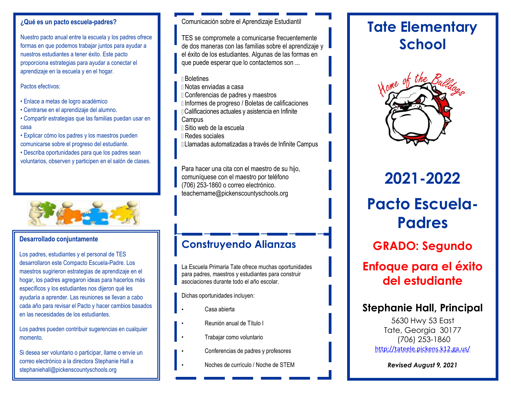#### **¿Qué es un pacto escuela-padres?**

Nuestro pacto anual entre la escuela y los padres ofrece formas en que podemos trabajar juntos para ayudar a nuestros estudiantes a tener éxito. Este pacto proporciona estrategias para ayudar a conectar el aprendizaje en la escuela y en el hogar.

Pactos efectivos:

- Enlace a metas de logro académico
- Centrarse en el aprendizaje del alumno.
- Compartir estrategias que las familias puedan usar en casa
- Explicar cómo los padres y los maestros pueden comunicarse sobre el progreso del estudiante.
- Describa oportunidades para que los padres sean voluntarios, observen y participen en el salón de clases.



#### **Desarrollado conjuntamente**

Los padres, estudiantes y el personal de TES desarrollaron este Compacto Escuela-Padre. Los maestros sugirieron estrategias de aprendizaje en el hogar, los padres agregaron ideas para hacerlos más específicos y los estudiantes nos dijeron qué les ayudaría a aprender. Las reuniones se llevan a cabo cada año para revisar el Pacto y hacer cambios basados en las necesidades de los estudiantes.

Los padres pueden contribuir sugerencias en cualquier momento.

[stephaniehall@pickenscountyschools.org](mailto:stephaniehall@pickenscountyschools.org) Si desea ser voluntario o participar, llame o envíe un correo electrónico a la directora Stephanie Hall a

#### Comunicación sobre el Aprendizaje Estudiantil

TES se compromete a comunicarse frecuentemente de dos maneras con las familias sobre el aprendizaje y el éxito de los estudiantes. Algunas de las formas en que puede esperar que lo contactemos son ...

- Boletines
- Notas enviadas a casa
- Conferencias de padres y maestros
- Informes de progreso / Boletas de calificaciones
- Calificaciones actuales y asistencia en Infinite **Campus**
- Sitio web de la escuela
- Redes sociales
- Llamadas automatizadas a través de Infinite Campus

Para hacer una cita con el maestro de su hijo, comuníquese con el maestro por teléfono (706) 253-1860 o correo electrónico. [teachername@pickenscountyschools.org](mailto:teachername@pickenscountyschools.org)

### **Construyendo Alianzas**

La Escuela Primaria Tate ofrece muchas oportunidades para padres, maestros y estudiantes para construir asociaciones durante todo el año escolar.

Dichas oportunidades incluyen:

- Casa abierta
- Reunión anual de Título I
- Trabajar como voluntario
- Conferencias de padres y profesores
- Noches de currículo / Noche de STEM *Revised August 9, 2021*

## **Tate Elementary School**



# **2021-2022**

# **Pacto Escuela-Padres**

**GRADO: Segundo**

## **Enfoque para el éxito del estudiante**

### **Stephanie Hall, Principal**

5630 Hwy 53 East Tate, Georgia 30177 (706) 253-1860 <http://tateele.pickens.k12.ga.us/>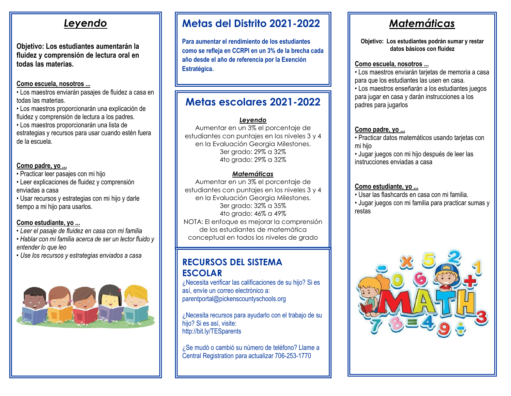### *Leyendo*

**Objetivo: Los estudiantes aumentarán la fluidez y comprensión de lectura oral en todas las materias.**

#### **Como escuela, nosotros ...**

• Los maestros enviarán pasajes de fluidez a casa en todas las materias.

• Los maestros proporcionarán una explicación de fluidez y comprensión de lectura a los padres.

• Los maestros proporcionarán una lista de estrategias y recursos para usar cuando estén fuera de la escuela.

#### **Como padre, yo ...**

• Practicar leer pasajes con mi hijo

• Leer explicaciones de fluidez y comprensión enviadas a casa

• Usar recursos y estrategias con mi hijo y darle tiempo a mi hijo para usarlos.

#### **Como estudiante, yo ...**

*• Leer el pasaje de fluidez en casa con mi familia*

- *• Hablar con mi familia acerca de ser un lector fluido y entender lo que leo*
- *• Use los recursos y estrategias enviados a casa*



### **Metas del Distrito 2021-2022**

**Para aumentar el rendimiento de los estudiantes como se refleja en CCRPI en un 3% de la brecha cada año desde el año de referencia por la Exención Estratégica.**

### **Metas escolares 2021-2022**

#### *Leyendo*

Aumentar en un 3% el porcentaje de estudiantes con puntajes en los niveles 3 y 4 en la Evaluación Georgia Milestones. 3er grado: 29% a 32% 4to grado: 29% a 32%

#### *Matemáticas*

Aumentar en un 3% el porcentaje de estudiantes con puntajes en los niveles 3 y 4 en la Evaluación Georgia Milestones. 3er grado: 32% a 35% 4to grado: 46% a 49% NOTA: El enfoque es mejorar la comprensión de los estudiantes de matemática conceptual en todos los niveles de grado

### **RECURSOS DEL SISTEMA ESCOLAR**

¿Necesita verificar las calificaciones de su hijo? Si es así, envíe un correo electrónico a: [parentportal@pickenscountyschools.org](mailto:parentportal@pickenscountyschools.org)

¿Necesita recursos para ayudarlo con el trabajo de su hijo? Si es así, visite: <http://bit.ly/TESparents>

¿Se mudó o cambió su número de teléfono? Llame a Central Registration para actualizar 706-253-1770

## *Matemáticas*

**Objetivo: Los estudiantes podrán sumar y restar datos básicos con fluidez**

#### **Como escuela, nosotros ...**

• Los maestros enviarán tarjetas de memoria a casa para que los estudiantes las usen en casa. • Los maestros enseñarán a los estudiantes juegos para jugar en casa y darán instrucciones a los padres para jugarlos

#### **Como padre, yo ...**

• Practicar datos matemáticos usando tarjetas con mi hijo

• Jugar juegos con mi hijo después de leer las instrucciones enviadas a casa

#### **Como estudiante, yo ...**

• Usar las flashcards en casa con mi familia.

• Jugar juegos con mi familia para practicar sumas y restas

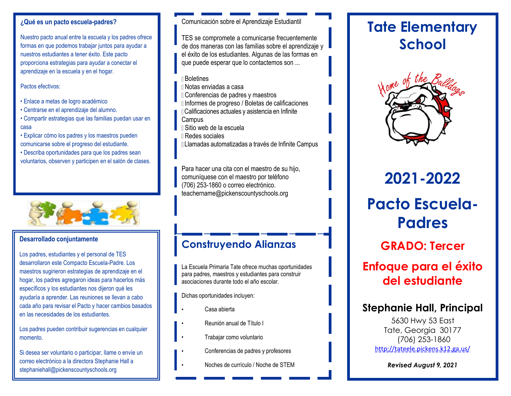#### **¿Qué es un pacto escuela-padres?**

Nuestro pacto anual entre la escuela y los padres ofrece formas en que podemos trabajar juntos para ayudar a nuestros estudiantes a tener éxito. Este pacto proporciona estrategias para ayudar a conectar el aprendizaje en la escuela y en el hogar.

Pactos efectivos:

- Enlace a metas de logro académico
- Centrarse en el aprendizaje del alumno.
- Compartir estrategias que las familias puedan usar en casa

• Explicar cómo los padres y los maestros pueden comunicarse sobre el progreso del estudiante.

• Describa oportunidades para que los padres sean voluntarios, observen y participen en el salón de clases.



#### **Desarrollado conjuntamente**

Los padres, estudiantes y el personal de TES desarrollaron este Compacto Escuela-Padre. Los maestros sugirieron estrategias de aprendizaje en el hogar, los padres agregaron ideas para hacerlos más específicos y los estudiantes nos dijeron qué les ayudaría a aprender. Las reuniones se llevan a cabo cada año para revisar el Pacto y hacer cambios basados en las necesidades de los estudiantes.

Los padres pueden contribuir sugerencias en cualquier momento.

[stephaniehall@pickenscountyschools.org](mailto:stephaniehall@pickenscountyschools.org) Si desea ser voluntario o participar, llame o envíe un correo electrónico a la directora Stephanie Hall a

#### Comunicación sobre el Aprendizaje Estudiantil

TES se compromete a comunicarse frecuentemente de dos maneras con las familias sobre el aprendizaje y el éxito de los estudiantes. Algunas de las formas en que puede esperar que lo contactemos son ...

- Boletines
- Notas enviadas a casa
- Conferencias de padres y maestros
- Informes de progreso / Boletas de calificaciones
- Calificaciones actuales y asistencia en Infinite **Campus**
- Sitio web de la escuela
- Redes sociales
- Llamadas automatizadas a través de Infinite Campus

Para hacer una cita con el maestro de su hijo, comuníquese con el maestro por teléfono (706) 253-1860 o correo electrónico. [teachername@pickenscountyschools.org](mailto:teachername@pickenscountyschools.org)

### **Construyendo Alianzas**

La Escuela Primaria Tate ofrece muchas oportunidades para padres, maestros y estudiantes para construir asociaciones durante todo el año escolar.

Dichas oportunidades incluyen:

- Casa abierta
- Reunión anual de Título I
- Trabajar como voluntario
- Conferencias de padres y profesores
- Noches de currículo / Noche de STEM *Revised August 9, 2021*

## **Tate Elementary School**



# **2021-2022**

# **Pacto Escuela-Padres**

**GRADO: Tercer**

## **Enfoque para el éxito del estudiante**

### **Stephanie Hall, Principal**

5630 Hwy 53 East Tate, Georgia 30177 (706) 253-1860 <http://tateele.pickens.k12.ga.us/>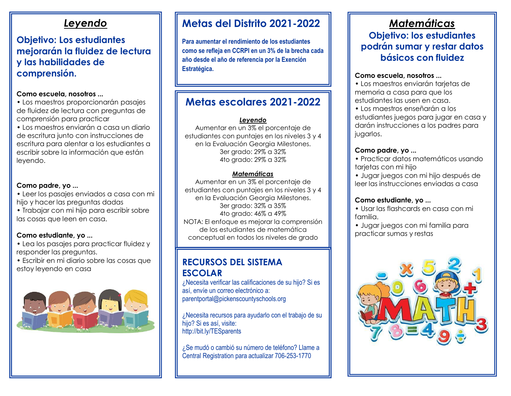### *Leyendo*

### **Objetivo: Los estudiantes mejorarán la fluidez de lectura y las habilidades de comprensión.**

#### **Como escuela, nosotros ...**

- Los maestros proporcionarán pasajes de fluidez de lectura con preguntas de comprensión para practicar
- Los maestros enviarán a casa un diario de escritura junto con instrucciones de escritura para alentar a los estudiantes a escribir sobre la información que están leyendo.

#### **Como padre, yo ...**

- Leer los pasajes enviados a casa con mi hijo y hacer las preguntas dadas
- Trabajar con mi hijo para escribir sobre las cosas que leen en casa.

#### **Como estudiante, yo ...**

- Lea los pasajes para practicar fluidez y responder las preguntas.
- Escribir en mi diario sobre las cosas que estoy leyendo en casa



### **Metas del Distrito 2021-2022**

**Para aumentar el rendimiento de los estudiantes como se refleja en CCRPI en un 3% de la brecha cada año desde el año de referencia por la Exención Estratégica.**

### **Metas escolares 2021-2022**

#### *Leyendo*

Aumentar en un 3% el porcentaje de estudiantes con puntajes en los niveles 3 y 4 en la Evaluación Georgia Milestones. 3er grado: 29% a 32% 4to grado: 29% a 32%

#### *Matemáticas*

Aumentar en un 3% el porcentaje de estudiantes con puntajes en los niveles 3 y 4 en la Evaluación Georgia Milestones. 3er grado: 32% a 35% 4to grado: 46% a 49% NOTA: El enfoque es mejorar la comprensión de los estudiantes de matemática conceptual en todos los niveles de grado

### **RECURSOS DEL SISTEMA ESCOLAR**

¿Necesita verificar las calificaciones de su hijo? Si es así, envíe un correo electrónico a: [parentportal@pickenscountyschools.org](mailto:parentportal@pickenscountyschools.org)

¿Necesita recursos para ayudarlo con el trabajo de su hijo? Si es así, visite: <http://bit.ly/TESparents>

¿Se mudó o cambió su número de teléfono? Llame a Central Registration para actualizar 706-253-1770

### *Matemáticas* **Objetivo: los estudiantes podrán sumar y restar datos básicos con fluidez**

#### **Como escuela, nosotros ...**

• Los maestros enviarán tarjetas de memoria a casa para que los estudiantes las usen en casa.

• Los maestros enseñarán a los estudiantes juegos para jugar en casa y darán instrucciones a los padres para jugarlos.

#### **Como padre, yo ...**

- Practicar datos matemáticos usando tarjetas con mi hijo
- Jugar juegos con mi hijo después de leer las instrucciones enviadas a casa

#### **Como estudiante, yo ...**

- Usar las flashcards en casa con mi familia.
- Jugar juegos con mi familia para practicar sumas y restas

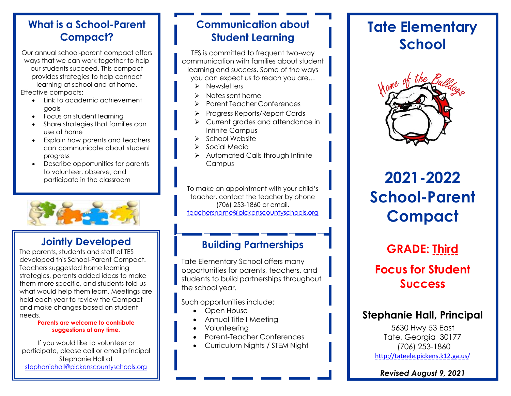Our annual school-parent compact offers ways that we can work together to help our students succeed. This compact provides strategies to help connect learning at school and at home. Effective compacts:

- Link to academic achievement goals
- Focus on student learning
- Share strategies that families can use at home
- Explain how parents and teachers can communicate about student progress
- Describe opportunities for parents to volunteer, observe, and participate in the classroom



### **Jointly Developed**

The parents, students and staff of TES developed this School-Parent Compact. Teachers suggested home learning strategies, parents added ideas to make them more specific, and students told us what would help them learn. Meetings are held each year to review the Compact and make changes based on student needs.

#### **Parents are welcome to contribute suggestions at any time.**

If you would like to volunteer or participate, please call or email principal Stephanie Hall at [stephaniehall@pickenscountyschools.org](mailto:stephaniehall@pickenscountyschools.org)

### **Communication about Student Learning**

TES is committed to frequent two-way communication with families about student learning and success. Some of the ways you can expect us to reach you are…

- ➢ Newsletters
- ➢ Notes sent home
- ➢ Parent Teacher Conferences
- ➢ Progress Reports/Report Cards
- ➢ Current grades and attendance in Infinite Campus
- ➢ School Website
- ➢ Social Media
- ➢ Automated Calls through Infinite **Campus**

To make an appointment with your child's teacher, contact the teacher by phone (706) 253-1860 or email. [teachersname@pickenscountyschools.org](mailto:teachersname@pickenscountyschools.org)

### **Building Partnerships**

Tate Elementary School offers many opportunities for parents, teachers, and students to build partnerships throughout the school year.

Such opportunities include:

- Open House
- Annual Title I Meeting
- Volunteering
- Parent-Teacher Conferences
- Curriculum Nights / STEM Night

## **Tate Elementary School**



# **2021-2022 School-Parent Compact**

## **GRADE: Third Focus for Student Success**

### **Stephanie Hall, Principal**

5630 Hwy 53 East Tate, Georgia 30177 (706) 253-1860 <http://tateele.pickens.k12.ga.us/>